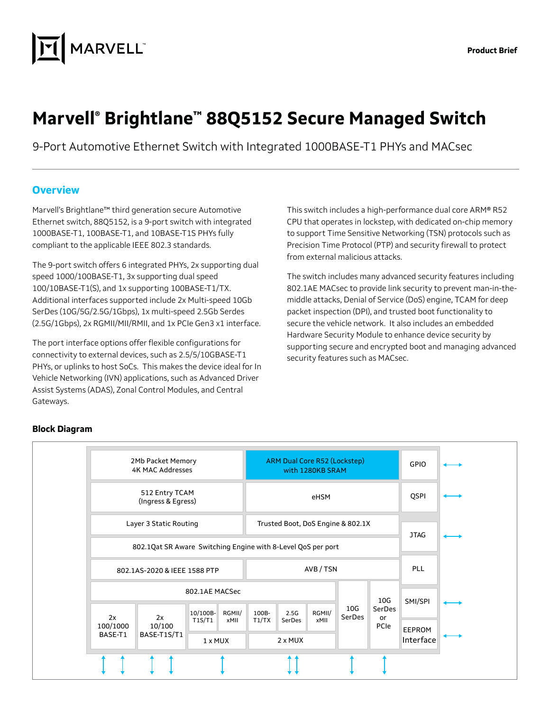

# **Marvell® Brightlane™ 88Q5152 Secure Managed Switch**

9-Port Automotive Ethernet Switch with Integrated 1000BASE-T1 PHYs and MACsec

#### **Overview**

Marvell's Brightlane™ third generation secure Automotive Ethernet switch, 88Q5152, is a 9-port switch with integrated 1000BASE-T1, 100BASE-T1, and 10BASE-T1S PHYs fully compliant to the applicable IEEE 802.3 standards.

The 9-port switch offers 6 integrated PHYs, 2x supporting dual speed 1000/100BASE-T1, 3x supporting dual speed 100/10BASE-T1(S), and 1x supporting 100BASE-T1/TX. Additional interfaces supported include 2x Multi-speed 10Gb SerDes (10G/5G/2.5G/1Gbps), 1x multi-speed 2.5Gb Serdes (2.5G/1Gbps), 2x RGMII/MII/RMII, and 1x PCIe Gen3 x1 interface.

The port interface options offer flexible configurations for connectivity to external devices, such as 2.5/5/10GBASE-T1 PHYs, or uplinks to host SoCs. This makes the device ideal for In Vehicle Networking (IVN) applications, such as Advanced Driver Assist Systems (ADAS), Zonal Control Modules, and Central Gateways.

This switch includes a high-performance dual core ARM® R52 CPU that operates in lockstep, with dedicated on-chip memory to support Time Sensitive Networking (TSN) protocols such as Precision Time Protocol (PTP) and security firewall to protect from external malicious attacks.

The switch includes many advanced security features including 802.1AE MACsec to provide link security to prevent man-in-themiddle attacks, Denial of Service (DoS) engine, TCAM for deep packet inspection (DPI), and trusted boot functionality to secure the vehicle network. It also includes an embedded Hardware Security Module to enhance device security by supporting secure and encrypted boot and managing advanced security features such as MACsec.



#### **Block Diagram**